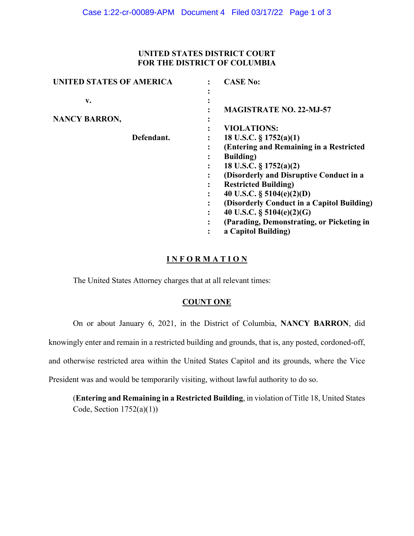# **UNITED STATES DISTRICT COURT FOR THE DISTRICT OF COLUMBIA**

| <b>UNITED STATES OF AMERICA</b> | <b>CASE No:</b>                            |
|---------------------------------|--------------------------------------------|
| v.                              | <b>MAGISTRATE NO. 22-MJ-57</b>             |
| <b>NANCY BARRON,</b>            | ٠                                          |
|                                 | <b>VIOLATIONS:</b>                         |
| Defendant.                      | 18 U.S.C. $\S 1752(a)(1)$                  |
|                                 | (Entering and Remaining in a Restricted    |
|                                 | <b>Building</b> )                          |
|                                 | 18 U.S.C. § 1752(a)(2)                     |
|                                 | (Disorderly and Disruptive Conduct in a    |
|                                 | <b>Restricted Building</b> )               |
|                                 | 40 U.S.C. $\S$ 5104(e)(2)(D)               |
|                                 | (Disorderly Conduct in a Capitol Building) |
|                                 | 40 U.S.C. $\S$ 5104(e)(2)(G)               |
|                                 | (Parading, Demonstrating, or Picketing in  |
|                                 | a Capitol Building)                        |

# **I N F O R M A T I O N**

The United States Attorney charges that at all relevant times:

# **COUNT ONE**

On or about January 6, 2021, in the District of Columbia, **NANCY BARRON**, did

knowingly enter and remain in a restricted building and grounds, that is, any posted, cordoned-off,

and otherwise restricted area within the United States Capitol and its grounds, where the Vice

President was and would be temporarily visiting, without lawful authority to do so.

(**Entering and Remaining in a Restricted Building**, in violation of Title 18, United States Code, Section  $1752(a)(1)$ )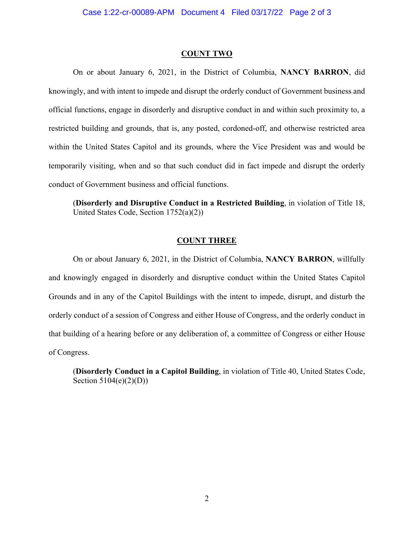#### **COUNT TWO**

On or about January 6, 2021, in the District of Columbia, **NANCY BARRON**, did knowingly, and with intent to impede and disrupt the orderly conduct of Government business and official functions, engage in disorderly and disruptive conduct in and within such proximity to, a restricted building and grounds, that is, any posted, cordoned-off, and otherwise restricted area within the United States Capitol and its grounds, where the Vice President was and would be temporarily visiting, when and so that such conduct did in fact impede and disrupt the orderly conduct of Government business and official functions.

(**Disorderly and Disruptive Conduct in a Restricted Building**, in violation of Title 18, United States Code, Section 1752(a)(2))

### **COUNT THREE**

On or about January 6, 2021, in the District of Columbia, **NANCY BARRON**, willfully and knowingly engaged in disorderly and disruptive conduct within the United States Capitol Grounds and in any of the Capitol Buildings with the intent to impede, disrupt, and disturb the orderly conduct of a session of Congress and either House of Congress, and the orderly conduct in that building of a hearing before or any deliberation of, a committee of Congress or either House of Congress.

(**Disorderly Conduct in a Capitol Building**, in violation of Title 40, United States Code, Section 5104(e)(2)(D))